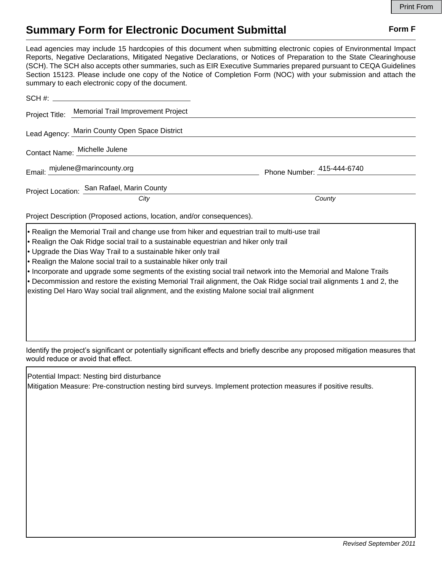## **Summary Form for Electronic Document Submittal Form F Form F**

Lead agencies may include 15 hardcopies of this document when submitting electronic copies of Environmental Impact Reports, Negative Declarations, Mitigated Negative Declarations, or Notices of Preparation to the State Clearinghouse (SCH). The SCH also accepts other summaries, such as EIR Executive Summaries prepared pursuant to CEQA Guidelines Section 15123. Please include one copy of the Notice of Completion Form (NOC) with your submission and attach the summary to each electronic copy of the document.

|                                                                                              | Project Title: Memorial Trail Improvement Project |                            |
|----------------------------------------------------------------------------------------------|---------------------------------------------------|----------------------------|
|                                                                                              | Lead Agency: Marin County Open Space District     |                            |
| Contact Name: Michelle Julene                                                                |                                                   |                            |
| Email: mjulene@marincounty.org                                                               |                                                   | Phone Number: 415-444-6740 |
| Project Location: San Rafael, Marin County                                                   |                                                   |                            |
|                                                                                              | City                                              | County                     |
| Project Description (Proposed actions, location, and/or consequences).                       |                                                   |                            |
| Realign the Memorial Trail and change use from hiker and equestrian trail to multi-use trail |                                                   |                            |

- Realign the Oak Ridge social trail to a sustainable equestrian and hiker only trail
- Upgrade the Dias Way Trail to a sustainable hiker only trail
- Realign the Malone social trail to a sustainable hiker only trail
- Incorporate and upgrade some segments of the existing social trail network into the Memorial and Malone Trails
- Decommission and restore the existing Memorial Trail alignment, the Oak Ridge social trail alignments 1 and 2, the existing Del Haro Way social trail alignment, and the existing Malone social trail alignment

Identify the project's significant or potentially significant effects and briefly describe any proposed mitigation measures that would reduce or avoid that effect.

Potential Impact: Nesting bird disturbance Mitigation Measure: Pre-construction nesting bird surveys. Implement protection measures if positive results.